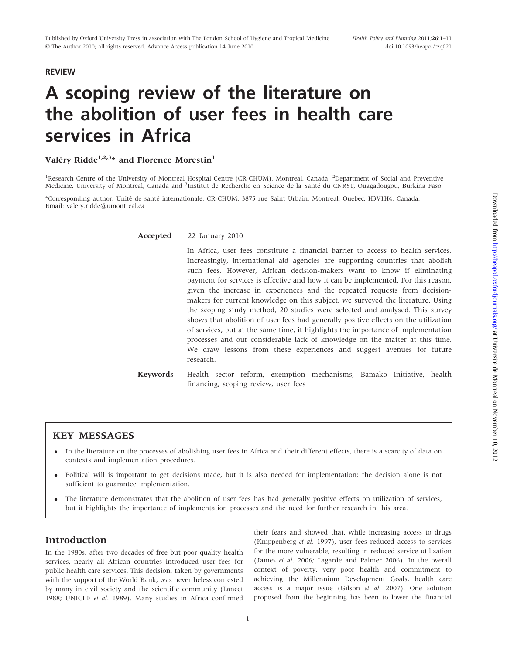# REVIEW

# A scoping review of the literature on the abolition of user fees in health care services in Africa

Valéry Ridde<sup>1,2,3</sup>\* and Florence Morestin<sup>1</sup>

<sup>1</sup> Research Centre of the University of Montreal Hospital Centre (CR-CHUM), Montreal, Canada, <sup>2</sup> Department of Social and Preventive Medicine, University of Montréal, Canada and <sup>3</sup>Institut de Recherche en Science de la Santé du CNRST, Ouagadougou, Burkina Faso

\*Corresponding author. Unite´ de sante´ internationale, CR-CHUM, 3875 rue Saint Urbain, Montreal, Quebec, H3V1H4, Canada. Email: valery.ridde@umontreal.ca

## Accepted 22 January 2010

In Africa, user fees constitute a financial barrier to access to health services. Increasingly, international aid agencies are supporting countries that abolish such fees. However, African decision-makers want to know if eliminating payment for services is effective and how it can be implemented. For this reason, given the increase in experiences and the repeated requests from decisionmakers for current knowledge on this subject, we surveyed the literature. Using the scoping study method, 20 studies were selected and analysed. This survey shows that abolition of user fees had generally positive effects on the utilization of services, but at the same time, it highlights the importance of implementation processes and our considerable lack of knowledge on the matter at this time. We draw lessons from these experiences and suggest avenues for future research.

Keywords Health sector reform, exemption mechanisms, Bamako Initiative, health financing, scoping review, user fees

# KEY MESSAGES

- $\bullet$  In the literature on the processes of abolishing user fees in Africa and their different effects, there is a scarcity of data on contexts and implementation procedures.
- $\bullet$  Political will is important to get decisions made, but it is also needed for implementation; the decision alone is not sufficient to guarantee implementation.
- $\bullet$  The literature demonstrates that the abolition of user fees has had generally positive effects on utilization of services, but it highlights the importance of implementation processes and the need for further research in this area.

# Introduction

In the 1980s, after two decades of free but poor quality health services, nearly all African countries introduced user fees for public health care services. This decision, taken by governments with the support of the World Bank, was nevertheless contested by many in civil society and the scientific community (Lancet 1988; UNICEF et al. 1989). Many studies in Africa confirmed

their fears and showed that, while increasing access to drugs (Knippenberg et al. 1997), user fees reduced access to services for the more vulnerable, resulting in reduced service utilization (James et al. 2006; Lagarde and Palmer 2006). In the overall context of poverty, very poor health and commitment to achieving the Millennium Development Goals, health care access is a major issue (Gilson et al. 2007). One solution proposed from the beginning has been to lower the financial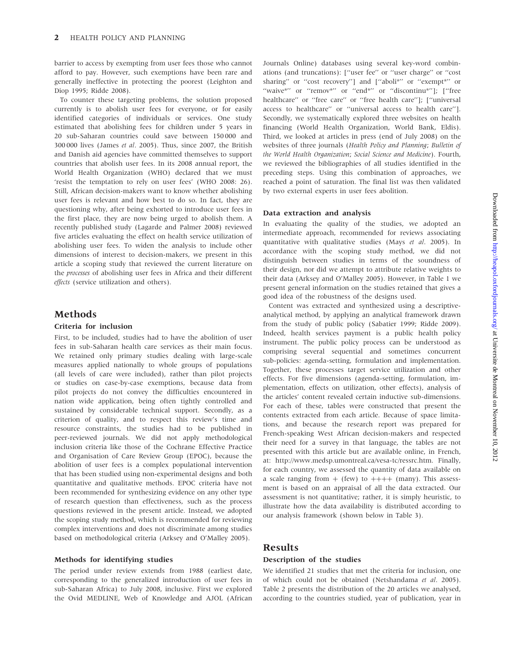barrier to access by exempting from user fees those who cannot afford to pay. However, such exemptions have been rare and generally ineffective in protecting the poorest (Leighton and Diop 1995; Ridde 2008).

To counter these targeting problems, the solution proposed currently is to abolish user fees for everyone, or for easily identified categories of individuals or services. One study estimated that abolishing fees for children under 5 years in 20 sub-Saharan countries could save between 150 000 and 300 000 lives (James et al. 2005). Thus, since 2007, the British and Danish aid agencies have committed themselves to support countries that abolish user fees. In its 2008 annual report, the World Health Organization (WHO) declared that we must 'resist the temptation to rely on user fees' (WHO 2008: 26). Still, African decision-makers want to know whether abolishing user fees is relevant and how best to do so. In fact, they are questioning why, after being exhorted to introduce user fees in the first place, they are now being urged to abolish them. A recently published study (Lagarde and Palmer 2008) reviewed five articles evaluating the effect on health service utilization of abolishing user fees. To widen the analysis to include other dimensions of interest to decision-makers, we present in this article a scoping study that reviewed the current literature on the processes of abolishing user fees in Africa and their different effects (service utilization and others).

# Methods

## Criteria for inclusion

First, to be included, studies had to have the abolition of user fees in sub-Saharan health care services as their main focus. We retained only primary studies dealing with large-scale measures applied nationally to whole groups of populations (all levels of care were included), rather than pilot projects or studies on case-by-case exemptions, because data from pilot projects do not convey the difficulties encountered in nation wide application, being often tightly controlled and sustained by considerable technical support. Secondly, as a criterion of quality, and to respect this review's time and resource constraints, the studies had to be published in peer-reviewed journals. We did not apply methodological inclusion criteria like those of the Cochrane Effective Practice and Organisation of Care Review Group (EPOC), because the abolition of user fees is a complex populational intervention that has been studied using non-experimental designs and both quantitative and qualitative methods. EPOC criteria have not been recommended for synthesizing evidence on any other type of research question than effectiveness, such as the process questions reviewed in the present article. Instead, we adopted the scoping study method, which is recommended for reviewing complex interventions and does not discriminate among studies based on methodological criteria (Arksey and O'Malley 2005).

#### Methods for identifying studies

The period under review extends from 1988 (earliest date, corresponding to the generalized introduction of user fees in sub-Saharan Africa) to July 2008, inclusive. First we explored the Ovid MEDLINE, Web of Knowledge and AJOL (African Journals Online) databases using several key-word combinations (and truncations): [''user fee'' or ''user charge'' or ''cost sharing" or "cost recovery"] and ["aboli\*" or "exempt\*" or "waive\*" or "remov\*" or "end\*" or "discontinu\*"]; ["free healthcare" or "free care" or "free health care"]; ["universal access to healthcare'' or ''universal access to health care'']. Secondly, we systematically explored three websites on health financing (World Health Organization, World Bank, Eldis). Third, we looked at articles in press (end of July 2008) on the websites of three journals (Health Policy and Planning; Bulletin of the World Health Organization; Social Science and Medicine). Fourth, we reviewed the bibliographies of all studies identified in the preceding steps. Using this combination of approaches, we reached a point of saturation. The final list was then validated by two external experts in user fees abolition.

#### Data extraction and analysis

In evaluating the quality of the studies, we adopted an intermediate approach, recommended for reviews associating quantitative with qualitative studies (Mays et al. 2005). In accordance with the scoping study method, we did not distinguish between studies in terms of the soundness of their design, nor did we attempt to attribute relative weights to their data (Arksey and O'Malley 2005). However, in Table 1 we present general information on the studies retained that gives a good idea of the robustness of the designs used.

Content was extracted and synthesized using a descriptiveanalytical method, by applying an analytical framework drawn from the study of public policy (Sabatier 1999; Ridde 2009). Indeed, health services payment is a public health policy instrument. The public policy process can be understood as comprising several sequential and sometimes concurrent sub-policies: agenda-setting, formulation and implementation. Together, these processes target service utilization and other effects. For five dimensions (agenda-setting, formulation, implementation, effects on utilization, other effects), analysis of the articles' content revealed certain inductive sub-dimensions. For each of these, tables were constructed that present the contents extracted from each article. Because of space limitations, and because the research report was prepared for French-speaking West African decision-makers and respected their need for a survey in that language, the tables are not presented with this article but are available online, in French, at: http://www.medsp.umontreal.ca/vesa-tc/ressrc.htm. Finally, for each country, we assessed the quantity of data available on a scale ranging from  $+$  (few) to  $++++$  (many). This assessment is based on an appraisal of all the data extracted. Our assessment is not quantitative; rather, it is simply heuristic, to illustrate how the data availability is distributed according to our analysis framework (shown below in Table 3).

# Results

#### Description of the studies

We identified 21 studies that met the criteria for inclusion, one of which could not be obtained (Netshandama et al. 2005). Table 2 presents the distribution of the 20 articles we analysed, according to the countries studied, year of publication, year in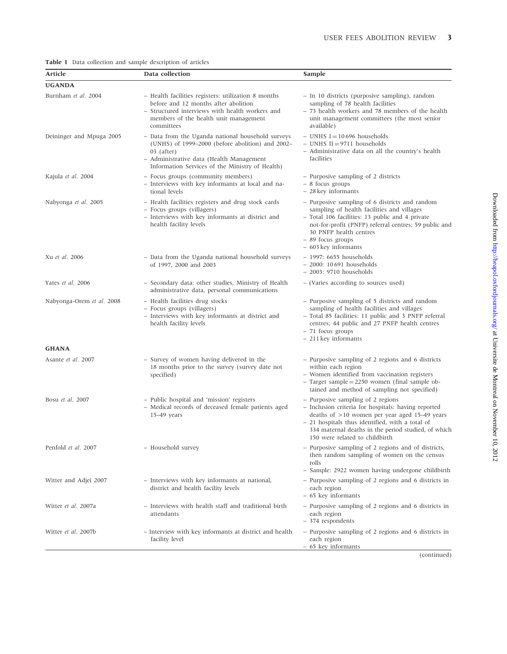|  |  |  |  |  | Table 1 Data collection and sample description of articles |  |  |
|--|--|--|--|--|------------------------------------------------------------|--|--|
|--|--|--|--|--|------------------------------------------------------------|--|--|

| <b>Article</b>            | Data collection                                                                                                                                                                                                      | Sample                                                                                                                                                                                                                                                                                  |  |  |
|---------------------------|----------------------------------------------------------------------------------------------------------------------------------------------------------------------------------------------------------------------|-----------------------------------------------------------------------------------------------------------------------------------------------------------------------------------------------------------------------------------------------------------------------------------------|--|--|
| <b>UGANDA</b>             |                                                                                                                                                                                                                      |                                                                                                                                                                                                                                                                                         |  |  |
| Burnham et al. 2004       | - Health facilities registers: utilization 8 months<br>before and 12 months after abolition<br>- Structured interviews with health workers and<br>members of the health unit management<br>committees                | - In 10 districts (purposive sampling), random<br>sampling of 78 health facilities<br>- 73 health workers and 78 members of the health<br>unit management committees (the most senior<br>available)                                                                                     |  |  |
| Deininger and Mpuga 2005  | - Data from the Uganda national household surveys<br>(UNHS) of 1999–2000 (before abolition) and 2002–<br>$03$ (after)<br>- Administrative data (Health Management<br>Information Services of the Ministry of Health) | $-$ UNHS I = 10696 households<br>$-$ UNHS II = 9711 households<br>- Administrative data on all the country's health<br>facilities                                                                                                                                                       |  |  |
| Kajula et al. 2004        | - Focus groups (community members)<br>- Interviews with key informants at local and na-<br>tional levels                                                                                                             | - Purposive sampling of 2 districts<br>$-8$ focus groups<br>- 28 key informants                                                                                                                                                                                                         |  |  |
| Nabyonga et al. 2005      | - Health facilities registers and drug stock cards<br>- Focus groups (villagers)<br>- Interviews with key informants at district and<br>health facility levels                                                       | - Purposive sampling of 6 districts and random<br>sampling of health facilities and villages<br>- Total 106 facilities: 13 public and 4 private<br>not-for-profit (PNFP) referral centres; 59 public and<br>30 PNFP health centres<br>- 89 focus groups<br>- 603 key informants         |  |  |
| Xu <i>et al.</i> 2006     | - Data from the Uganda national household surveys<br>of 1997, 2000 and 2003                                                                                                                                          | - 1997: 6655 households<br>$-2000$ : 10691 households<br>$-$ 2003: 9710 households                                                                                                                                                                                                      |  |  |
| Yates et al. 2006         | - Secondary data: other studies, Ministry of Health<br>administrative data, personal communications                                                                                                                  | - (Varies according to sources used)                                                                                                                                                                                                                                                    |  |  |
| Nabyonga-Orem et al. 2008 | - Health facilities drug stocks<br>- Focus groups (villagers)<br>- Interviews with key informants at district and<br>health facility levels                                                                          | - Purposive sampling of 5 districts and random<br>sampling of health facilities and villages<br>- Total 85 facilities: 11 public and 3 PNFP referral<br>centres; 44 public and 27 PNFP health centres<br>- 71 focus groups<br>- 211 key informants                                      |  |  |
| <b>GHANA</b>              |                                                                                                                                                                                                                      |                                                                                                                                                                                                                                                                                         |  |  |
| Asante et al. 2007        | - Survey of women having delivered in the<br>18 months prior to the survey (survey date not<br>specified)                                                                                                            | - Purposive sampling of 2 regions and 6 districts<br>within each region<br>- Women identified from vaccination registers<br>$-$ Target sample $=$ 2250 women (final sample ob-<br>tained and method of sampling not specified)                                                          |  |  |
| Bosu et al. 2007          | - Public hospital and 'mission' registers<br>- Medical records of deceased female patients aged<br>$15-49$ years                                                                                                     | - Purposive sampling of 2 regions<br>- Inclusion criteria for hospitals: having reported<br>deaths of $>10$ women per year aged 15–49 years<br>- 21 hospitals thus identified, with a total of<br>334 maternal deaths in the period studied, of which<br>150 were related to childbirth |  |  |
| Penfold et al. 2007       | - Household survey                                                                                                                                                                                                   | - Purposive sampling of 2 regions and of districts,<br>then random sampling of women on the census<br>rolls<br>- Sample: 2922 women having undergone childbirth                                                                                                                         |  |  |
| Witter and Adjei 2007     | - Interviews with key informants at national,<br>district and health facility levels                                                                                                                                 | - Purposive sampling of 2 regions and 6 districts in<br>each region<br>- 65 key informants                                                                                                                                                                                              |  |  |
| Witter et al. 2007a       | - Interviews with health staff and traditional birth<br>attendants                                                                                                                                                   | - Purposive sampling of 2 regions and 6 districts in<br>each region<br>- 374 respondents                                                                                                                                                                                                |  |  |
| Witter et al. 2007b       | - Interview with key informants at district and health<br>facility level                                                                                                                                             | - Purposive sampling of 2 regions and 6 districts in<br>each region<br>- 65 key informants                                                                                                                                                                                              |  |  |

(continued)

Downloaded from http://heapol.oxfordjournals.org/ at Universite de Montreal on November 10, 2012 Downloaded from <http://heapol.oxfordjournals.org/> at Universite de Montreal on November 10, 2012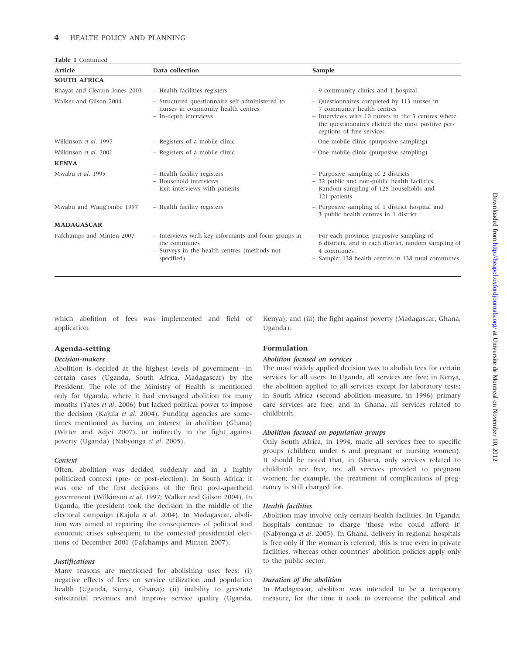Table 1 Continued

| Article                       | Data collection                                                                                                                    | <b>Sample</b>                                                                                                                                                                                                      |
|-------------------------------|------------------------------------------------------------------------------------------------------------------------------------|--------------------------------------------------------------------------------------------------------------------------------------------------------------------------------------------------------------------|
| <b>SOUTH AFRICA</b>           |                                                                                                                                    |                                                                                                                                                                                                                    |
| Bhayat and Cleaton-Jones 2003 | - Health facilities registers                                                                                                      | - 9 community clinics and 1 hospital                                                                                                                                                                               |
| Walker and Gilson 2004        | - Structured questionnaire self-administered to<br>nurses in community health centres<br>- In-depth interviews                     | - Questionnaires completed by 113 nurses in<br>7 community health centres<br>- Interviews with 10 nurses in the 3 centres where<br>the questionnaires elicited the most positive per-<br>ceptions of free services |
| Wilkinson et al. 1997         | - Registers of a mobile clinic                                                                                                     | - One mobile clinic (purposive sampling)                                                                                                                                                                           |
| Wilkinson et al. 2001         | - Registers of a mobile clinic                                                                                                     | - One mobile clinic (purposive sampling)                                                                                                                                                                           |
| <b>KENYA</b>                  |                                                                                                                                    |                                                                                                                                                                                                                    |
| Mwabu et al. 1995             | - Health facility registers<br>- Household interviews<br>- Exit interviews with patients                                           | - Purposive sampling of 2 districts<br>- 32 public and non-public health facilities<br>- Random sampling of 128 households and<br>121 patients                                                                     |
| Mwabu and Wang'ombe 1997      | - Health facility registers                                                                                                        | - Purposive sampling of 1 district hospital and<br>3 public health centres in 1 district                                                                                                                           |
| <b>MADAGASCAR</b>             |                                                                                                                                    |                                                                                                                                                                                                                    |
| Fafchamps and Minten 2007     | - Interviews with key informants and focus groups in<br>the communes<br>- Surveys in the health centres (methods not<br>specified) | - For each province, purposive sampling of<br>6 districts, and in each district, random sampling of<br>4 communes<br>- Sample: 138 health centres in 138 rural communes.                                           |

which abolition of fees was implemented and field of application.

## Agenda-setting

#### Decision-makers

Abolition is decided at the highest levels of government—in certain cases (Uganda, South Africa, Madagascar) by the President. The role of the Ministry of Health is mentioned only for Uganda, where it had envisaged abolition for many months (Yates et al. 2006) but lacked political power to impose the decision (Kajula et al. 2004). Funding agencies are sometimes mentioned as having an interest in abolition (Ghana) (Witter and Adjei 2007), or indirectly in the fight against poverty (Uganda) (Nabyonga et al. 2005).

## Context

Often, abolition was decided suddenly and in a highly politicized context (pre- or post-election). In South Africa, it was one of the first decisions of the first post-apartheid government (Wilkinson et al. 1997; Walker and Gilson 2004). In Uganda, the president took the decision in the middle of the electoral campaign (Kajula et al. 2004). In Madagascar, abolition was aimed at repairing the consequences of political and economic crises subsequent to the contested presidential elections of December 2001 (Fafchamps and Minten 2007).

## Justifications

Many reasons are mentioned for abolishing user fees: (i) negative effects of fees on service utilization and population health (Uganda, Kenya, Ghana); (ii) inability to generate substantial revenues and improve service quality (Uganda, Kenya); and (iii) the fight against poverty (Madagascar, Ghana, Uganda).

## Formulation

#### Abolition focused on services

The most widely applied decision was to abolish fees for certain services for all users. In Uganda, all services are free; in Kenya, the abolition applied to all services except for laboratory tests; in South Africa (second abolition measure, in 1996) primary care services are free; and in Ghana, all services related to childbirth.

#### Abolition focused on population groups

Only South Africa, in 1994, made all services free to specific groups (children under 6 and pregnant or nursing women). It should be noted that, in Ghana, only services related to childbirth are free, not all services provided to pregnant women; for example, the treatment of complications of pregnancy is still charged for.

## Health facilities

Abolition may involve only certain health facilities. In Uganda, hospitals continue to charge 'those who could afford it' (Nabyonga et al. 2005). In Ghana, delivery in regional hospitals is free only if the woman is referred; this is true even in private facilities, whereas other countries' abolition policies apply only to the public sector.

## Duration of the abolition

In Madagascar, abolition was intended to be a temporary measure, for the time it took to overcome the political and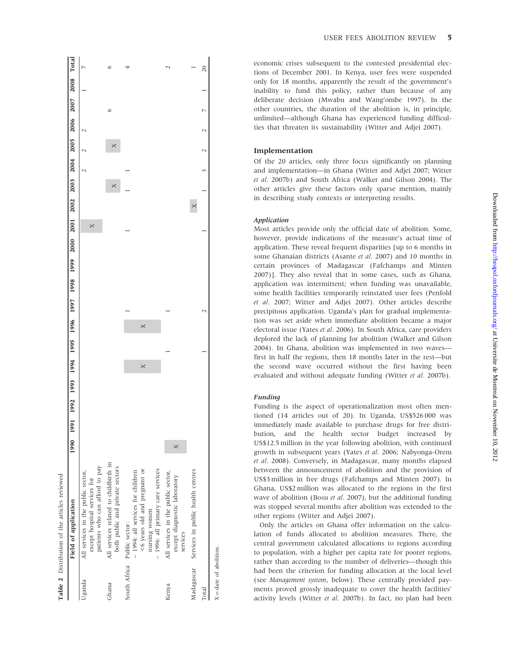

economic crises subsequent to the contested presidential elections of December 2001. In Kenya, user fees were suspended only for 18 months, apparently the result of the government's inability to fund this policy, rather than because of any deliberate decision (Mwabu and Wang'ombe 1997). In the other countries, the duration of the abolition is, in principle, unlimited—although Ghana has experienced funding difficulties that threaten its sustainability (Witter and Adjei 2007).

## Implementation

Of the 20 articles, only three focus significantly on planning and implementation—in Ghana (Witter and Adjei 2007; Witter et al. 2007b) and South Africa (Walker and Gilson 2004). The other articles give these factors only sparse mention, mainly in describing study contexts or interpreting results.

## Application

Most articles provide only the official date of abolition. Some, however, provide indications of the measure's actual time of application. These reveal frequent disparities [up to 6 months in some Ghanaian districts (Asante et al. 2007) and 10 months in certain provinces of Madagascar (Fafchamps and Minten 2007)]. They also reveal that in some cases, such as Ghana, application was intermittent; when funding was unavailable, some health facilities temporarily reinstated user fees (Penfold et al. 2007; Witter and Adjei 2007). Other articles describe precipitous application. Uganda's plan for gradual implementation was set aside when immediate abolition became a major electoral issue (Yates et al. 2006). In South Africa, care providers deplored the lack of planning for abolition (Walker and Gilson 2004). In Ghana, abolition was implemented in two waves first in half the regions, then 18 months later in the rest—but the second wave occurred without the first having been evaluated and without adequate funding (Witter et al. 2007b).

## Funding

Funding is the aspect of operationalization most often mentioned (14 articles out of 20). In Uganda, US\$526 000 was immediately made available to purchase drugs for free distribution, and the health sector budget increased by US\$12.5 million in the year following abolition, with continued growth in subsequent years (Yates et al. 2006; Nabyonga-Orem et al. 2008). Conversely, in Madagascar, many months elapsed between the announcement of abolition and the provision of US\$3 million in free drugs (Fafchamps and Minten 2007). In Ghana, US\$2 million was allocated to the regions in the first wave of abolition (Bosu et al. 2007), but the additional funding was stopped several months after abolition was extended to the other regions (Witter and Adjei 2007).

Only the articles on Ghana offer information on the calculation of funds allocated to abolition measures. There, the central government calculated allocations to regions according to population, with a higher per capita rate for poorer regions, rather than according to the number of deliveries—though this had been the criterion for funding allocation at the local level (see Management system, below). These centrally provided payments proved grossly inadequate to cover the health facilities' activity levels (Witter et al. 2007b). In fact, no plan had been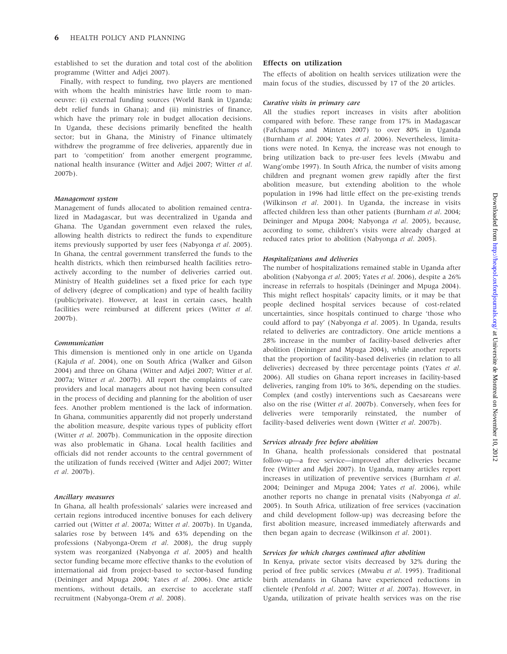established to set the duration and total cost of the abolition programme (Witter and Adjei 2007).

Finally, with respect to funding, two players are mentioned with whom the health ministries have little room to manoeuvre: (i) external funding sources (World Bank in Uganda; debt relief funds in Ghana); and (ii) ministries of finance, which have the primary role in budget allocation decisions. In Uganda, these decisions primarily benefited the health sector; but in Ghana, the Ministry of Finance ultimately withdrew the programme of free deliveries, apparently due in part to 'competition' from another emergent programme, national health insurance (Witter and Adjei 2007; Witter et al. 2007b).

#### Management system

Management of funds allocated to abolition remained centralized in Madagascar, but was decentralized in Uganda and Ghana. The Ugandan government even relaxed the rules, allowing health districts to redirect the funds to expenditure items previously supported by user fees (Nabyonga et al. 2005). In Ghana, the central government transferred the funds to the health districts, which then reimbursed health facilities retroactively according to the number of deliveries carried out. Ministry of Health guidelines set a fixed price for each type of delivery (degree of complication) and type of health facility (public/private). However, at least in certain cases, health facilities were reimbursed at different prices (Witter et al. 2007b).

#### Communication

This dimension is mentioned only in one article on Uganda (Kajula et al. 2004), one on South Africa (Walker and Gilson 2004) and three on Ghana (Witter and Adjei 2007; Witter et al. 2007a; Witter et al. 2007b). All report the complaints of care providers and local managers about not having been consulted in the process of deciding and planning for the abolition of user fees. Another problem mentioned is the lack of information. In Ghana, communities apparently did not properly understand the abolition measure, despite various types of publicity effort (Witter et al. 2007b). Communication in the opposite direction was also problematic in Ghana. Local health facilities and officials did not render accounts to the central government of the utilization of funds received (Witter and Adjei 2007; Witter et al. 2007b).

#### Ancillary measures

In Ghana, all health professionals' salaries were increased and certain regions introduced incentive bonuses for each delivery carried out (Witter et al. 2007a; Witter et al. 2007b). In Uganda, salaries rose by between 14% and 63% depending on the professions (Nabyonga-Orem et al. 2008), the drug supply system was reorganized (Nabyonga et al. 2005) and health sector funding became more effective thanks to the evolution of international aid from project-based to sector-based funding (Deininger and Mpuga 2004; Yates et al. 2006). One article mentions, without details, an exercise to accelerate staff recruitment (Nabyonga-Orem et al. 2008).

## Effects on utilization

The effects of abolition on health services utilization were the main focus of the studies, discussed by 17 of the 20 articles.

## Curative visits in primary care

All the studies report increases in visits after abolition compared with before. These range from 17% in Madagascar (Fafchamps and Minten 2007) to over 80% in Uganda (Burnham et al. 2004; Yates et al. 2006). Nevertheless, limitations were noted. In Kenya, the increase was not enough to bring utilization back to pre-user fees levels (Mwabu and Wang'ombe 1997). In South Africa, the number of visits among children and pregnant women grew rapidly after the first abolition measure, but extending abolition to the whole population in 1996 had little effect on the pre-existing trends (Wilkinson et al. 2001). In Uganda, the increase in visits affected children less than other patients (Burnham et al. 2004; Deininger and Mpuga 2004; Nabyonga et al. 2005), because, according to some, children's visits were already charged at reduced rates prior to abolition (Nabyonga et al. 2005).

#### Hospitalizations and deliveries

The number of hospitalizations remained stable in Uganda after abolition (Nabyonga et al. 2005; Yates et al. 2006), despite a 26% increase in referrals to hospitals (Deininger and Mpuga 2004). This might reflect hospitals' capacity limits, or it may be that people declined hospital services because of cost-related uncertainties, since hospitals continued to charge 'those who could afford to pay' (Nabyonga et al. 2005). In Uganda, results related to deliveries are contradictory. One article mentions a 28% increase in the number of facility-based deliveries after abolition (Deininger and Mpuga 2004), while another reports that the proportion of facility-based deliveries (in relation to all deliveries) decreased by three percentage points (Yates et al. 2006). All studies on Ghana report increases in facility-based deliveries, ranging from 10% to 36%, depending on the studies. Complex (and costly) interventions such as Caesareans were also on the rise (Witter et al. 2007b). Conversely, when fees for deliveries were temporarily reinstated, the number of facility-based deliveries went down (Witter et al. 2007b).

#### Services already free before abolition

In Ghana, health professionals considered that postnatal follow-up—a free service—improved after deliveries became free (Witter and Adjei 2007). In Uganda, many articles report increases in utilization of preventive services (Burnham et al. 2004; Deininger and Mpuga 2004; Yates et al. 2006), while another reports no change in prenatal visits (Nabyonga et al. 2005). In South Africa, utilization of free services (vaccination and child development follow-up) was decreasing before the first abolition measure, increased immediately afterwards and then began again to decrease (Wilkinson et al. 2001).

#### Services for which charges continued after abolition

In Kenya, private sector visits decreased by 32% during the period of free public services (Mwabu et al. 1995). Traditional birth attendants in Ghana have experienced reductions in clientele (Penfold et al. 2007; Witter et al. 2007a). However, in Uganda, utilization of private health services was on the rise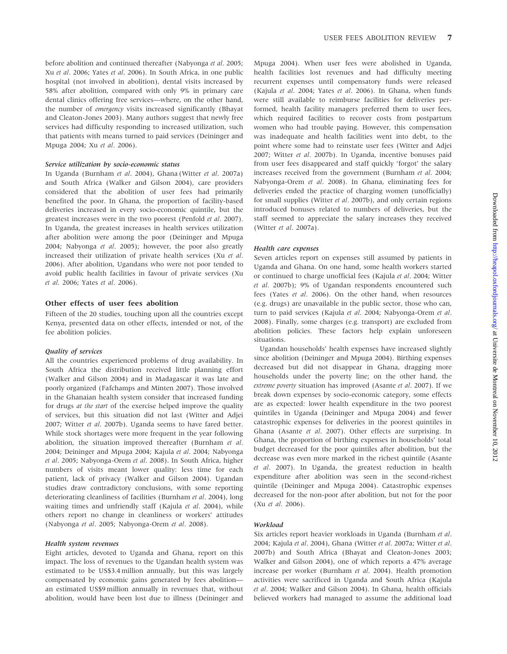before abolition and continued thereafter (Nabyonga et al. 2005; Xu et al. 2006; Yates et al. 2006). In South Africa, in one public hospital (not involved in abolition), dental visits increased by 58% after abolition, compared with only 9% in primary care dental clinics offering free services—where, on the other hand, the number of emergency visits increased significantly (Bhayat and Cleaton-Jones 2003). Many authors suggest that newly free services had difficulty responding to increased utilization, such that patients with means turned to paid services (Deininger and Mpuga 2004; Xu et al. 2006).

#### Service utilization by socio-economic status

In Uganda (Burnham et al. 2004), Ghana (Witter et al. 2007a) and South Africa (Walker and Gilson 2004), care providers considered that the abolition of user fees had primarily benefited the poor. In Ghana, the proportion of facility-based deliveries increased in every socio-economic quintile, but the greatest increases were in the two poorest (Penfold et al. 2007). In Uganda, the greatest increases in health services utilization after abolition were among the poor (Deininger and Mpuga 2004; Nabyonga et al. 2005); however, the poor also greatly increased their utilization of private health services (Xu et al. 2006). After abolition, Ugandans who were not poor tended to avoid public health facilities in favour of private services (Xu et al. 2006; Yates et al. 2006).

## Other effects of user fees abolition

Fifteen of the 20 studies, touching upon all the countries except Kenya, presented data on other effects, intended or not, of the fee abolition policies.

#### Quality of services

All the countries experienced problems of drug availability. In South Africa the distribution received little planning effort (Walker and Gilson 2004) and in Madagascar it was late and poorly organized (Fafchamps and Minten 2007). Those involved in the Ghanaian health system consider that increased funding for drugs at the start of the exercise helped improve the quality of services, but this situation did not last (Witter and Adjei 2007; Witter et al. 2007b). Uganda seems to have fared better. While stock shortages were more frequent in the year following abolition, the situation improved thereafter (Burnham et al. 2004; Deininger and Mpuga 2004; Kajula et al. 2004; Nabyonga et al. 2005; Nabyonga-Orem et al. 2008). In South Africa, higher numbers of visits meant lower quality: less time for each patient, lack of privacy (Walker and Gilson 2004). Ugandan studies draw contradictory conclusions, with some reporting deteriorating cleanliness of facilities (Burnham et al. 2004), long waiting times and unfriendly staff (Kajula et al. 2004), while others report no change in cleanliness or workers' attitudes (Nabyonga et al. 2005; Nabyonga-Orem et al. 2008).

#### Health system revenues

Eight articles, devoted to Uganda and Ghana, report on this impact. The loss of revenues to the Ugandan health system was estimated to be US\$3.4 million annually, but this was largely compensated by economic gains generated by fees abolition an estimated US\$9 million annually in revenues that, without abolition, would have been lost due to illness (Deininger and Mpuga 2004). When user fees were abolished in Uganda, health facilities lost revenues and had difficulty meeting recurrent expenses until compensatory funds were released (Kajula et al. 2004; Yates et al. 2006). In Ghana, when funds were still available to reimburse facilities for deliveries performed, health facility managers preferred them to user fees, which required facilities to recover costs from postpartum women who had trouble paying. However, this compensation was inadequate and health facilities went into debt, to the point where some had to reinstate user fees (Witter and Adjei 2007; Witter et al. 2007b). In Uganda, incentive bonuses paid from user fees disappeared and staff quickly 'forgot' the salary increases received from the government (Burnham et al. 2004; Nabyonga-Orem et al. 2008). In Ghana, eliminating fees for deliveries ended the practice of charging women (unofficially) for small supplies (Witter et al. 2007b), and only certain regions introduced bonuses related to numbers of deliveries, but the staff seemed to appreciate the salary increases they received (Witter et al. 2007a).

#### Health care expenses

Seven articles report on expenses still assumed by patients in Uganda and Ghana. On one hand, some health workers started or continued to charge unofficial fees (Kajula et al. 2004; Witter et al. 2007b); 9% of Ugandan respondents encountered such fees (Yates et al. 2006). On the other hand, when resources (e.g. drugs) are unavailable in the public sector, those who can, turn to paid services (Kajula et al. 2004; Nabyonga-Orem et al. 2008). Finally, some charges (e.g. transport) are excluded from abolition policies. These factors help explain unforeseen situations.

Ugandan households' health expenses have increased slightly since abolition (Deininger and Mpuga 2004). Birthing expenses decreased but did not disappear in Ghana, dragging more households under the poverty line; on the other hand, the extreme poverty situation has improved (Asante et al. 2007). If we break down expenses by socio-economic category, some effects are as expected: lower health expenditure in the two poorest quintiles in Uganda (Deininger and Mpuga 2004) and fewer catastrophic expenses for deliveries in the poorest quintiles in Ghana (Asante et al. 2007). Other effects are surprising. In Ghana, the proportion of birthing expenses in households' total budget decreased for the poor quintiles after abolition, but the decrease was even more marked in the richest quintile (Asante et al. 2007). In Uganda, the greatest reduction in health expenditure after abolition was seen in the second-richest quintile (Deininger and Mpuga 2004). Catastrophic expenses decreased for the non-poor after abolition, but not for the poor (Xu et al. 2006).

## Workload

Six articles report heavier workloads in Uganda (Burnham et al. 2004; Kajula et al. 2004), Ghana (Witter et al. 2007a; Witter et al. 2007b) and South Africa (Bhayat and Cleaton-Jones 2003; Walker and Gilson 2004), one of which reports a 47% average increase per worker (Burnham et al. 2004). Health promotion activities were sacrificed in Uganda and South Africa (Kajula et al. 2004; Walker and Gilson 2004). In Ghana, health officials believed workers had managed to assume the additional load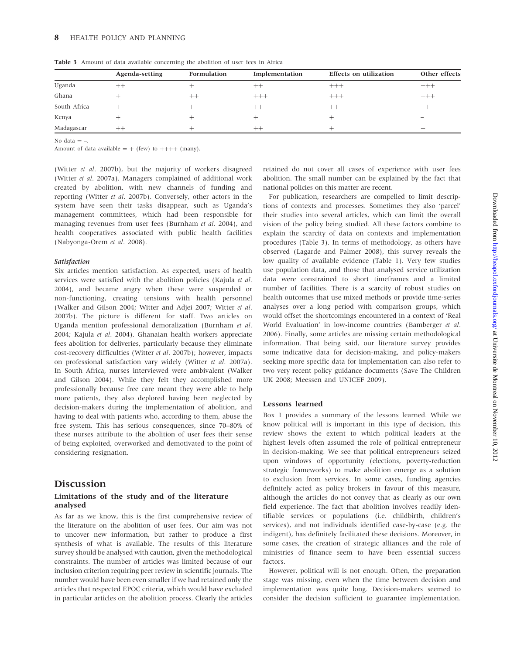|              | Agenda-setting | Formulation | Implementation | Effects on utilization | Other effects |
|--------------|----------------|-------------|----------------|------------------------|---------------|
| Uganda       | $^{++}$        |             | $++$           | $^{+++}$               | $^{+++}$      |
| Ghana        |                | $^{++}$     | $^{+++}$       | $^{+++}$               | $+++$         |
| South Africa |                |             | $^{++}$        | $^{++}$                | $^{++}$       |
| Kenya        |                |             |                |                        | -             |
| Madagascar   | $+ +$          |             | $+ +$          |                        |               |

Table 3 Amount of data available concerning the abolition of user fees in Africa

No data  $-$ 

Amount of data available  $= +$  (few) to  $++++$  (many).

(Witter et al. 2007b), but the majority of workers disagreed (Witter et al. 2007a). Managers complained of additional work created by abolition, with new channels of funding and reporting (Witter et al. 2007b). Conversely, other actors in the system have seen their tasks disappear, such as Uganda's management committees, which had been responsible for managing revenues from user fees (Burnham et al. 2004), and health cooperatives associated with public health facilities (Nabyonga-Orem et al. 2008).

#### Satisfaction

Six articles mention satisfaction. As expected, users of health services were satisfied with the abolition policies (Kajula et al. 2004), and became angry when these were suspended or non-functioning, creating tensions with health personnel (Walker and Gilson 2004; Witter and Adjei 2007; Witter et al. 2007b). The picture is different for staff. Two articles on Uganda mention professional demoralization (Burnham et al. 2004; Kajula et al. 2004). Ghanaian health workers appreciate fees abolition for deliveries, particularly because they eliminate cost-recovery difficulties (Witter et al. 2007b); however, impacts on professional satisfaction vary widely (Witter et al. 2007a). In South Africa, nurses interviewed were ambivalent (Walker and Gilson 2004). While they felt they accomplished more professionally because free care meant they were able to help more patients, they also deplored having been neglected by decision-makers during the implementation of abolition, and having to deal with patients who, according to them, abuse the free system. This has serious consequences, since 70–80% of these nurses attribute to the abolition of user fees their sense of being exploited, overworked and demotivated to the point of considering resignation.

## Discussion

## Limitations of the study and of the literature analysed

As far as we know, this is the first comprehensive review of the literature on the abolition of user fees. Our aim was not to uncover new information, but rather to produce a first synthesis of what is available. The results of this literature survey should be analysed with caution, given the methodological constraints. The number of articles was limited because of our inclusion criterion requiring peer review in scientific journals. The number would have been even smaller if we had retained only the articles that respected EPOC criteria, which would have excluded in particular articles on the abolition process. Clearly the articles

retained do not cover all cases of experience with user fees abolition. The small number can be explained by the fact that national policies on this matter are recent.

For publication, researchers are compelled to limit descriptions of contexts and processes. Sometimes they also 'parcel' their studies into several articles, which can limit the overall vision of the policy being studied. All these factors combine to explain the scarcity of data on contexts and implementation procedures (Table 3). In terms of methodology, as others have observed (Lagarde and Palmer 2008), this survey reveals the low quality of available evidence (Table 1). Very few studies use population data, and those that analysed service utilization data were constrained to short timeframes and a limited number of facilities. There is a scarcity of robust studies on health outcomes that use mixed methods or provide time-series analyses over a long period with comparison groups, which would offset the shortcomings encountered in a context of 'Real World Evaluation' in low-income countries (Bamberger et al. 2006). Finally, some articles are missing certain methodological information. That being said, our literature survey provides some indicative data for decision-making, and policy-makers seeking more specific data for implementation can also refer to two very recent policy guidance documents (Save The Children UK 2008; Meessen and UNICEF 2009).

## Lessons learned

Box 1 provides a summary of the lessons learned. While we know political will is important in this type of decision, this review shows the extent to which political leaders at the highest levels often assumed the role of political entrepreneur in decision-making. We see that political entrepreneurs seized upon windows of opportunity (elections, poverty-reduction strategic frameworks) to make abolition emerge as a solution to exclusion from services. In some cases, funding agencies definitely acted as policy brokers in favour of this measure, although the articles do not convey that as clearly as our own field experience. The fact that abolition involves readily identifiable services or populations (i.e. childbirth, children's services), and not individuals identified case-by-case (e.g. the indigent), has definitely facilitated these decisions. Moreover, in some cases, the creation of strategic alliances and the role of ministries of finance seem to have been essential success factors.

However, political will is not enough. Often, the preparation stage was missing, even when the time between decision and implementation was quite long. Decision-makers seemed to consider the decision sufficient to guarantee implementation.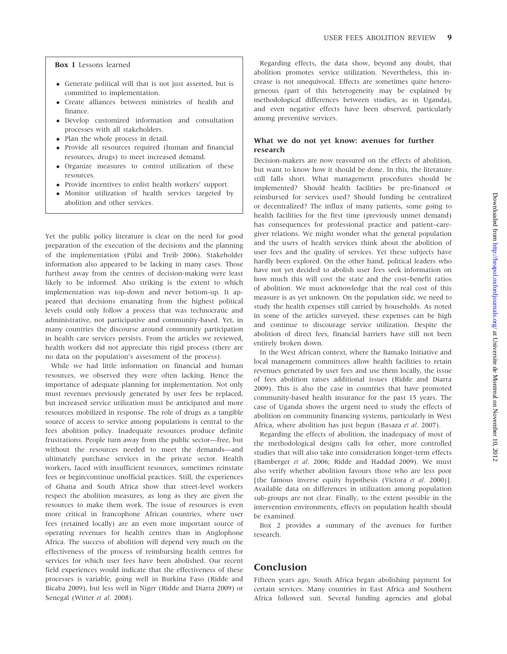## Box 1 Lessons learned

- Generate political will that is not just asserted, but is committed to implementation.
- Create alliances between ministries of health and finance.
- Develop customized information and consultation processes with all stakeholders.
- Plan the whole process in detail.
- Provide all resources required (human and financial resources, drugs) to meet increased demand.
- Organize measures to control utilization of these resources.
- Provide incentives to enlist health workers' support.
- Monitor utilization of health services targeted by abolition and other services.

Yet the public policy literature is clear on the need for good preparation of the execution of the decisions and the planning of the implementation (Pülzi and Treib 2006). Stakeholder information also appeared to be lacking in many cases. Those furthest away from the centres of decision-making were least likely to be informed. Also striking is the extent to which implementation was top-down and never bottom-up. It appeared that decisions emanating from the highest political levels could only follow a process that was technocratic and administrative, not participative and community-based. Yet, in many countries the discourse around community participation in health care services persists. From the articles we reviewed, health workers did not appreciate this rigid process (there are no data on the population's assessment of the process).

While we had little information on financial and human resources, we observed they were often lacking. Hence the importance of adequate planning for implementation. Not only must revenues previously generated by user fees be replaced, but increased service utilization must be anticipated and more resources mobilized in response. The role of drugs as a tangible source of access to service among populations is central to the fees abolition policy. Inadequate resources produce definite frustrations. People turn away from the public sector—free, but without the resources needed to meet the demands—and ultimately purchase services in the private sector. Health workers, faced with insufficient resources, sometimes reinstate fees or begin/continue unofficial practices. Still, the experiences of Ghana and South Africa show that street-level workers respect the abolition measures, as long as they are given the resources to make them work. The issue of resources is even more critical in francophone African countries, where user fees (retained locally) are an even more important source of operating revenues for health centres than in Anglophone Africa. The success of abolition will depend very much on the effectiveness of the process of reimbursing health centres for services for which user fees have been abolished. Our recent field experiences would indicate that the effectiveness of these processes is variable, going well in Burkina Faso (Ridde and Bicaba 2009), but less well in Niger (Ridde and Diarra 2009) or Senegal (Witter et al. 2008).

Regarding effects, the data show, beyond any doubt, that abolition promotes service utilization. Nevertheless, this increase is not unequivocal. Effects are sometimes quite heterogeneous (part of this heterogeneity may be explained by methodological differences between studies, as in Uganda), and even negative effects have been observed, particularly among preventive services.

## What we do not yet know: avenues for further research

Decision-makers are now reassured on the effects of abolition, but want to know how it should be done. In this, the literature still falls short. What management procedures should be implemented? Should health facilities be pre-financed or reimbursed for services used? Should funding be centralized or decentralized? The influx of many patients, some going to health facilities for the first time (previously unmet demand) has consequences for professional practice and patient–caregiver relations. We might wonder what the general population and the users of health services think about the abolition of user fees and the quality of services. Yet these subjects have hardly been explored. On the other hand, political leaders who have not yet decided to abolish user fees seek information on how much this will cost the state and the cost–benefit ratios of abolition. We must acknowledge that the real cost of this measure is as yet unknown. On the population side, we need to study the health expenses still carried by households. As noted in some of the articles surveyed, these expenses can be high and continue to discourage service utilization. Despite the abolition of direct fees, financial barriers have still not been entirely broken down.

In the West African context, where the Bamako Initiative and local management committees allow health facilities to retain revenues generated by user fees and use them locally, the issue of fees abolition raises additional issues (Ridde and Diarra 2009). This is also the case in countries that have promoted community-based health insurance for the past 15 years. The case of Uganda shows the urgent need to study the effects of abolition on community financing systems, particularly in West Africa, where abolition has just begun (Basaza et al. 2007).

Regarding the effects of abolition, the inadequacy of most of the methodological designs calls for other, more controlled studies that will also take into consideration longer-term effects (Bamberger et al. 2006; Ridde and Haddad 2009). We must also verify whether abolition favours those who are less poor [the famous inverse equity hypothesis (Victora et al. 2000)]. Available data on differences in utilization among population sub-groups are not clear. Finally, to the extent possible in the intervention environments, effects on population health should be examined.

Box 2 provides a summary of the avenues for further research.

# Conclusion

Fifteen years ago, South Africa began abolishing payment for certain services. Many countries in East Africa and Southern Africa followed suit. Several funding agencies and global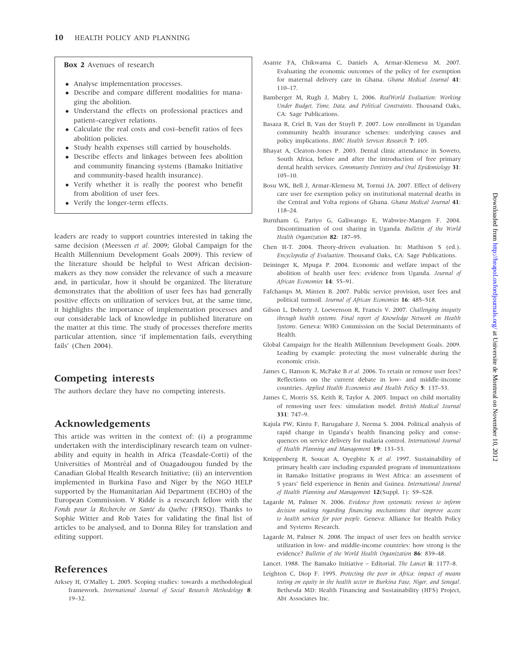#### Box 2 Avenues of research

- Analyse implementation processes.
- Describe and compare different modalities for managing the abolition.
- Understand the effects on professional practices and patient–caregiver relations.
- Calculate the real costs and cost–benefit ratios of fees abolition policies.
- Study health expenses still carried by households.
- Describe effects and linkages between fees abolition and community financing systems (Bamako Initiative and community-based health insurance).
- Verify whether it is really the poorest who benefit from abolition of user fees.
- Verify the longer-term effects.

leaders are ready to support countries interested in taking the same decision (Meessen et al. 2009; Global Campaign for the Health Millennium Development Goals 2009). This review of the literature should be helpful to West African decisionmakers as they now consider the relevance of such a measure and, in particular, how it should be organized. The literature demonstrates that the abolition of user fees has had generally positive effects on utilization of services but, at the same time, it highlights the importance of implementation processes and our considerable lack of knowledge in published literature on the matter at this time. The study of processes therefore merits particular attention, since 'if implementation fails, everything fails' (Chen 2004).

# Competing interests

The authors declare they have no competing interests.

# Acknowledgements

This article was written in the context of: (i) a programme undertaken with the interdisciplinary research team on vulnerability and equity in health in Africa (Teasdale-Corti) of the Universities of Montréal and of Ouagadougou funded by the Canadian Global Health Research Initiative; (ii) an intervention implemented in Burkina Faso and Niger by the NGO HELP supported by the Humanitarian Aid Department (ECHO) of the European Commission. V Ridde is a research fellow with the Fonds pour la Recherche en Santé du Québec (FRSQ). Thanks to Sophie Witter and Rob Yates for validating the final list of articles to be analysed, and to Donna Riley for translation and editing support.

## References

Arksey H, O'Malley L. 2005. Scoping studies: towards a methodological framework. International Journal of Social Research Methodology 8: 19–32.

- Asante FA, Chikwama C, Daniels A, Armar-Klemesu M. 2007. Evaluating the economic outcomes of the policy of fee exemption for maternal delivery care in Ghana. Ghana Medical Journal 41: 110–17.
- Bamberger M, Rugh J, Mabry L. 2006. RealWorld Evaluation: Working Under Budget, Time, Data, and Political Constraints. Thousand Oaks, CA: Sage Publications.
- Basaza R, Criel B, Van der Stuyft P. 2007. Low enrollment in Ugandan community health insurance schemes: underlying causes and policy implications. BMC Health Services Research 7: 105.
- Bhayat A, Cleaton-Jones P. 2003. Dental clinic attendance in Soweto, South Africa, before and after the introduction of free primary dental health services. Community Dentistry and Oral Epidemiology 31: 105–10.
- Bosu WK, Bell J, Armar-Klemesu M, Tornui JA. 2007. Effect of delivery care user fee exemption policy on institutional maternal deaths in the Central and Volta regions of Ghana. Ghana Medical Journal 41: 118–24.
- Burnham G, Pariyo G, Galiwango E, Wabwire-Mangen F. 2004. Discontinuation of cost sharing in Uganda. Bulletin of the World Health Organization 82: 187–95.
- Chen H-T. 2004. Theory-driven evaluation. In: Mathison S (ed.). Encyclopedia of Evaluation. Thousand Oaks, CA: Sage Publications.
- Deininger K, Mpuga P. 2004. Economic and welfare impact of the abolition of health user fees: evidence from Uganda. Journal of African Economies 14: 55–91.
- Fafchamps M, Minten B. 2007. Public service provision, user fees and political turmoil. Journal of African Economies 16: 485-518.
- Gilson L, Doherty J, Loewenson R, Francis V. 2007. Challenging inequity through health systems. Final report of Knowledge Network on Health Systems. Geneva: WHO Commission on the Social Determinants of Health.
- Global Campaign for the Health Millennium Development Goals. 2009. Leading by example: protecting the most vulnerable during the economic crisis.
- James C, Hanson K, McPake B et al. 2006. To retain or remove user fees? Reflections on the current debate in low- and middle-income countries. Applied Health Economics and Health Policy 5: 137–53.
- James C, Morris SS, Keith R, Taylor A. 2005. Impact on child mortality of removing user fees: simulation model. British Medical Journal 331: 747–9.
- Kajula PW, Kintu F, Barugahare J, Neema S. 2004. Political analysis of rapid change in Uganda's health financing policy and consequences on service delivery for malaria control. International Journal of Health Planning and Management 19: 133–53.
- Knippenberg R, Soucat A, Oyegbite K et al. 1997. Sustainability of primary health care including expanded program of immunizations in Bamako Initiative programs in West Africa: an assesment of 5 years' field experience in Benin and Guinea. International Journal of Health Planning and Management 12(Suppl. 1): S9–S28.
- Lagarde M, Palmer N. 2006. Evidence from systematic reviews to inform decision making regarding financing mechanisms that improve access to health services for poor people. Geneva: Alliance for Health Policy and Systems Research.
- Lagarde M, Palmer N. 2008. The impact of user fees on health service utilization in low- and middle-income countries: how strong is the evidence? Bulletin of the World Health Organization 86: 839–48.
- Lancet. 1988. The Bamako Initiative Editorial. The Lancet ii: 1177–8.
- Leighton C, Diop F. 1995. Protecting the poor in Africa: impact of means testing on equity in the health sector in Burkina Faso, Niger, and Senegal. Bethesda MD: Health Financing and Sustainability (HFS) Project, Abt Associates Inc.